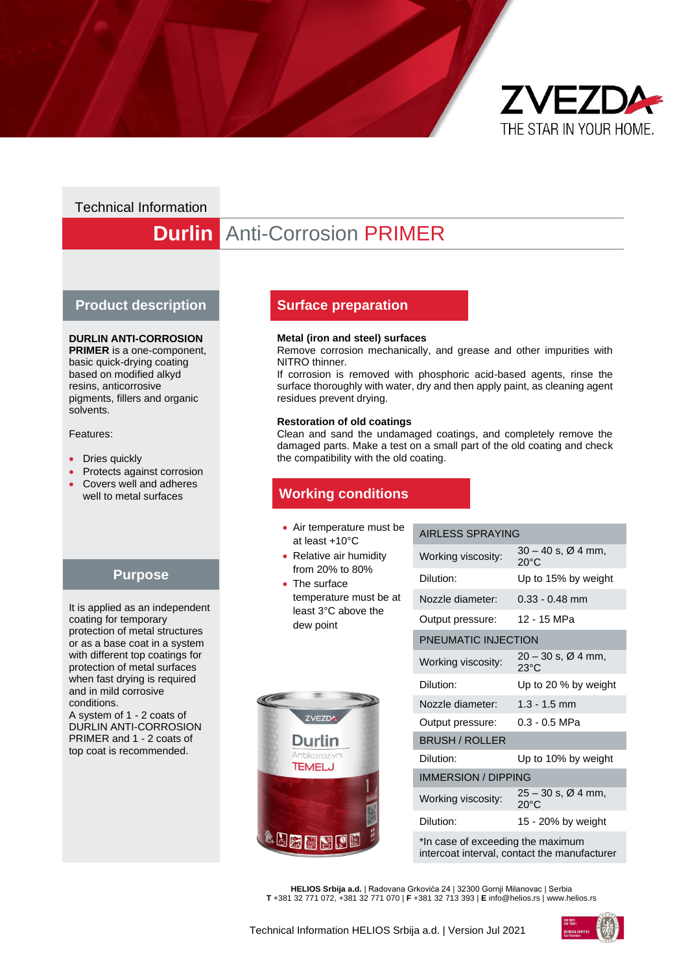

## Technical Information

# **Durlin** Anti-Corrosion PRIMER

#### **Product description**

#### **DURLIN ANTI-CORROSION**

**PRIMER** is a one-component, basic quick-drying coating based on modified alkyd resins, anticorrosive pigments, fillers and organic solvents.

Features:

- Dries quickly
- Protects against corrosion
- Covers well and adheres well to metal surfaces

## **Purpose**

It is applied as an independent coating for temporary protection of metal structures or as a base coat in a system with different top coatings for protection of metal surfaces when fast drying is required and in mild corrosive conditions. A system of 1 - 2 coats of

DURLIN ANTI-CORROSION PRIMER and 1 - 2 coats of top coat is recommended.

### **Surface preparation**

#### **Metal (iron and steel) surfaces**

Remove corrosion mechanically, and grease and other impurities with NITRO thinner.

If corrosion is removed with phosphoric acid-based agents, rinse the surface thoroughly with water, dry and then apply paint, as cleaning agent residues prevent drying.

#### **Restoration of old coatings**

Clean and sand the undamaged coatings, and completely remove the damaged parts. Make a test on a small part of the old coating and check the compatibility with the old coating.

## **Working conditions**

- Air temperature must be at least +10°C
- Relative air humidity from 20% to 80%
- The surface temperature must be at least 3°C above the dew point

#### AIRLESS SPRAYING

| Working viscosity: | $30 - 40$ s, $\varnothing$ 4 mm,<br>$20^{\circ}$ C |
|--------------------|----------------------------------------------------|
| Dilution:          | Up to 15% by weight                                |
| Nozzle diameter:   | $0.33 - 0.48$ mm                                   |
| Output pressure:   | 12 - 15 MPa                                        |



| PNEUMATIC INJECTION               |                                                    |  |
|-----------------------------------|----------------------------------------------------|--|
| Working viscosity:                | 20 – 30 s, Ø 4 mm,<br>$23^{\circ}$ C               |  |
| Dilution:                         | Up to 20 % by weight                               |  |
| Nozzle diameter:                  | $1.3 - 1.5$ mm                                     |  |
| Output pressure:                  | 0.3 - 0.5 MPa                                      |  |
| <b>BRUSH / ROLLER</b>             |                                                    |  |
| Dilution:                         | Up to 10% by weight                                |  |
| <b>IMMERSION / DIPPING</b>        |                                                    |  |
| Working viscosity:                | $25 - 30$ s, $\varnothing$ 4 mm,<br>$20^{\circ}$ C |  |
| Dilution:                         | 15 - 20% by weight                                 |  |
| *In case of exceeding the maximum |                                                    |  |

intercoat interval, contact the manufacturer

**HELIOS Srbija a.d.** | Radovana Grkovića 24 | 32300 Gornji Milanovac | Serbia **T** +381 32 771 072, +381 32 771 070 | **F** +381 32 713 393 | **E** info@helios.rs | www.helios.rs